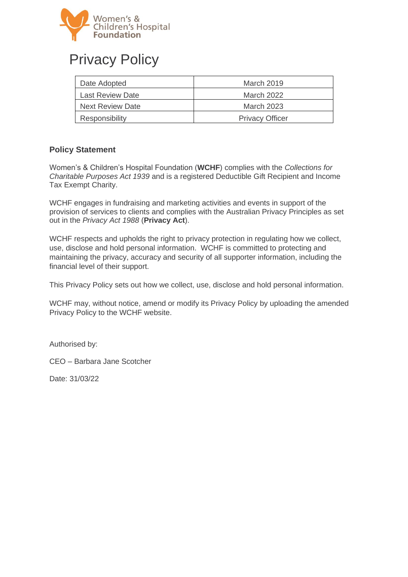

# Privacy Policy

| Date Adopted            | March 2019             |
|-------------------------|------------------------|
| <b>Last Review Date</b> | March 2022             |
| Next Review Date        | March 2023             |
| Responsibility          | <b>Privacy Officer</b> |

#### **Policy Statement**

Women's & Children's Hospital Foundation (**WCHF**) complies with the *Collections for Charitable Purposes Act 1939* and is a registered Deductible Gift Recipient and Income Tax Exempt Charity.

WCHF engages in fundraising and marketing activities and events in support of the provision of services to clients and complies with the Australian Privacy Principles as set out in the *Privacy Act 1988* (**Privacy Act**).

WCHF respects and upholds the right to privacy protection in regulating how we collect, use, disclose and hold personal information. WCHF is committed to protecting and maintaining the privacy, accuracy and security of all supporter information, including the financial level of their support.

This Privacy Policy sets out how we collect, use, disclose and hold personal information.

WCHF may, without notice, amend or modify its Privacy Policy by uploading the amended Privacy Policy to the WCHF website.

Authorised by:

CEO – Barbara Jane Scotcher

Date: 31/03/22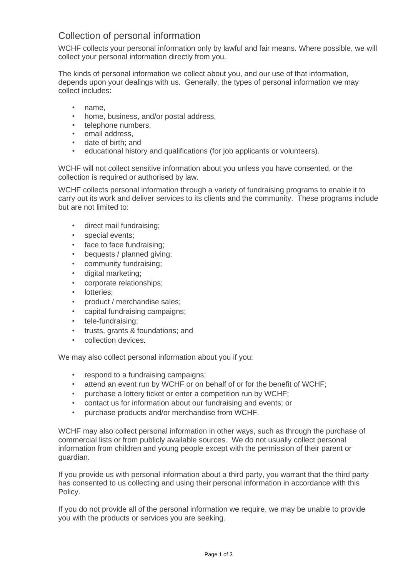## Collection of personal information

WCHF collects your personal information only by lawful and fair means. Where possible, we will collect your personal information directly from you.

The kinds of personal information we collect about you, and our use of that information, depends upon your dealings with us. Generally, the types of personal information we may collect includes:

- name,
- home, business, and/or postal address,
- telephone numbers,
- email address,
- date of birth; and
- educational history and qualifications (for job applicants or volunteers).

WCHF will not collect sensitive information about you unless you have consented, or the collection is required or authorised by law.

WCHF collects personal information through a variety of fundraising programs to enable it to carry out its work and deliver services to its clients and the community. These programs include but are not limited to:

- direct mail fundraising;
- special events;
- face to face fundraising;
- bequests / planned giving;
- community fundraising;
- digital marketing;
- corporate relationships;
- lotteries:
- product / merchandise sales;
- capital fundraising campaigns;
- tele-fundraising;
- trusts, grants & foundations; and
- collection devices.

We may also collect personal information about you if you:

- respond to a fundraising campaigns;
- attend an event run by WCHF or on behalf of or for the benefit of WCHF;
- purchase a lottery ticket or enter a competition run by WCHF;
- contact us for information about our fundraising and events; or
- purchase products and/or merchandise from WCHF.

WCHF may also collect personal information in other ways, such as through the purchase of commercial lists or from publicly available sources. We do not usually collect personal information from children and young people except with the permission of their parent or guardian.

If you provide us with personal information about a third party, you warrant that the third party has consented to us collecting and using their personal information in accordance with this Policy.

If you do not provide all of the personal information we require, we may be unable to provide you with the products or services you are seeking.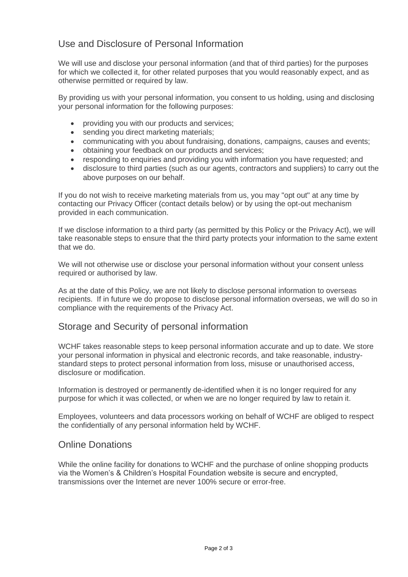## Use and Disclosure of Personal Information

We will use and disclose your personal information (and that of third parties) for the purposes for which we collected it, for other related purposes that you would reasonably expect, and as otherwise permitted or required by law.

By providing us with your personal information, you consent to us holding, using and disclosing your personal information for the following purposes:

- providing you with our products and services;
- sending you direct marketing materials;
- communicating with you about fundraising, donations, campaigns, causes and events;
- obtaining your feedback on our products and services;
- responding to enquiries and providing you with information you have requested; and
- disclosure to third parties (such as our agents, contractors and suppliers) to carry out the above purposes on our behalf.

If you do not wish to receive marketing materials from us, you may "opt out" at any time by contacting our Privacy Officer (contact details below) or by using the opt-out mechanism provided in each communication.

If we disclose information to a third party (as permitted by this Policy or the Privacy Act), we will take reasonable steps to ensure that the third party protects your information to the same extent that we do.

We will not otherwise use or disclose your personal information without your consent unless required or authorised by law.

As at the date of this Policy, we are not likely to disclose personal information to overseas recipients. If in future we do propose to disclose personal information overseas, we will do so in compliance with the requirements of the Privacy Act.

#### Storage and Security of personal information

WCHF takes reasonable steps to keep personal information accurate and up to date. We store your personal information in physical and electronic records, and take reasonable, industrystandard steps to protect personal information from loss, misuse or unauthorised access, disclosure or modification.

Information is destroyed or permanently de-identified when it is no longer required for any purpose for which it was collected, or when we are no longer required by law to retain it.

Employees, volunteers and data processors working on behalf of WCHF are obliged to respect the confidentially of any personal information held by WCHF.

#### Online Donations

While the online facility for donations to WCHF and the purchase of online shopping products via the Women's & Children's Hospital Foundation website is secure and encrypted, transmissions over the Internet are never 100% secure or error-free.